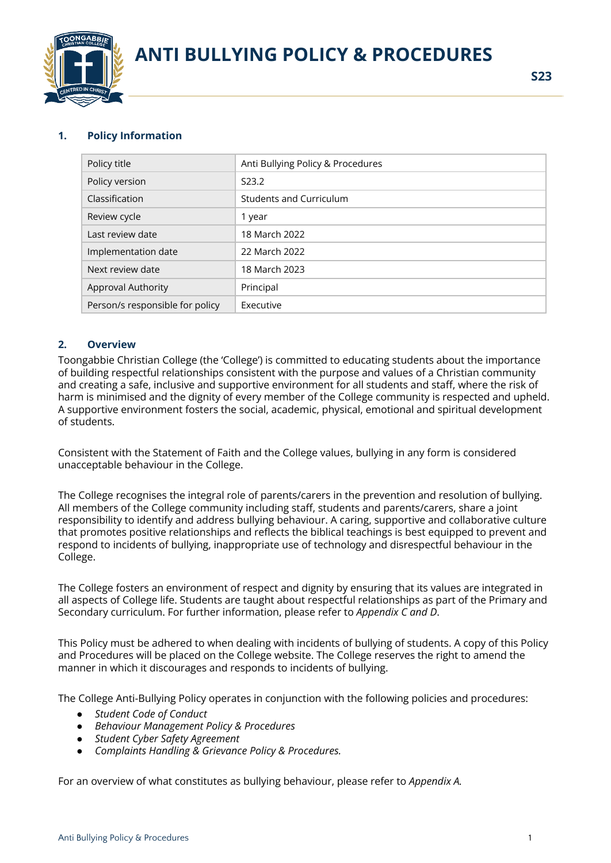

# **ANTI BULLYING POLICY & PROCEDURES**

# **1. Policy Information**

| Policy title                    | Anti Bullying Policy & Procedures |
|---------------------------------|-----------------------------------|
| Policy version                  | S <sub>23.2</sub>                 |
| Classification                  | <b>Students and Curriculum</b>    |
| Review cycle                    | 1 year                            |
| Last review date                | 18 March 2022                     |
| Implementation date             | 22 March 2022                     |
| Next review date                | 18 March 2023                     |
| <b>Approval Authority</b>       | Principal                         |
| Person/s responsible for policy | Executive                         |

## **2. Overview**

Toongabbie Christian College (the 'College') is committed to educating students about the importance of building respectful relationships consistent with the purpose and values of a Christian community and creating a safe, inclusive and supportive environment for all students and staff, where the risk of harm is minimised and the dignity of every member of the College community is respected and upheld. A supportive environment fosters the social, academic, physical, emotional and spiritual development of students.

Consistent with the Statement of Faith and the College values, bullying in any form is considered unacceptable behaviour in the College.

The College recognises the integral role of parents/carers in the prevention and resolution of bullying. All members of the College community including staff, students and parents/carers, share a joint responsibility to identify and address bullying behaviour. A caring, supportive and collaborative culture that promotes positive relationships and reflects the biblical teachings is best equipped to prevent and respond to incidents of bullying, inappropriate use of technology and disrespectful behaviour in the College.

The College fosters an environment of respect and dignity by ensuring that its values are integrated in all aspects of College life. Students are taught about respectful relationships as part of the Primary and Secondary curriculum. For further information, please refer to *Appendix C and D*.

This Policy must be adhered to when dealing with incidents of bullying of students. A copy of this Policy and Procedures will be placed on the College website. The College reserves the right to amend the manner in which it discourages and responds to incidents of bullying.

The College Anti-Bullying Policy operates in conjunction with the following policies and procedures:

- *● Student Code of Conduct*
- *● Behaviour Management Policy & Procedures*
- *● Student Cyber Safety Agreement*
- *● Complaints Handling & Grievance Policy & Procedures.*

For an overview of what constitutes as bullying behaviour, please refer to *Appendix A.*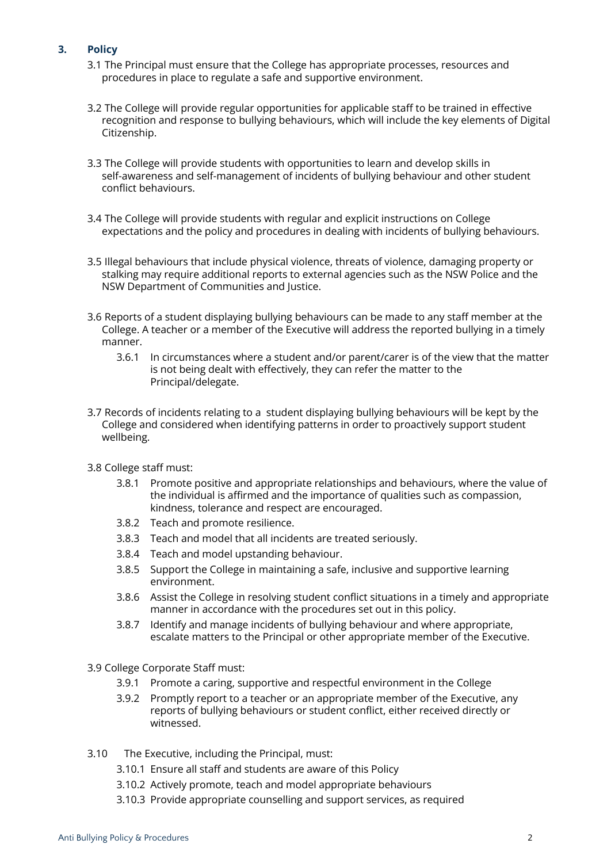# **3. Policy**

- 3.1 The Principal must ensure that the College has appropriate processes, resources and procedures in place to regulate a safe and supportive environment.
- 3.2 The College will provide regular opportunities for applicable staff to be trained in effective recognition and response to bullying behaviours, which will include the key elements of Digital Citizenship.
- 3.3 The College will provide students with opportunities to learn and develop skills in self-awareness and self-management of incidents of bullying behaviour and other student conflict behaviours.
- 3.4 The College will provide students with regular and explicit instructions on College expectations and the policy and procedures in dealing with incidents of bullying behaviours.
- 3.5 Illegal behaviours that include physical violence, threats of violence, damaging property or stalking may require additional reports to external agencies such as the NSW Police and the NSW Department of Communities and Justice.
- 3.6 Reports of a student displaying bullying behaviours can be made to any staff member at the College. A teacher or a member of the Executive will address the reported bullying in a timely manner.
	- 3.6.1 In circumstances where a student and/or parent/carer is of the view that the matter is not being dealt with effectively, they can refer the matter to the Principal/delegate.
- 3.7 Records of incidents relating to a student displaying bullying behaviours will be kept by the College and considered when identifying patterns in order to proactively support student wellbeing.
- 3.8 College staff must:
	- 3.8.1 Promote positive and appropriate relationships and behaviours, where the value of the individual is affirmed and the importance of qualities such as compassion, kindness, tolerance and respect are encouraged.
	- 3.8.2 Teach and promote resilience.
	- 3.8.3 Teach and model that all incidents are treated seriously.
	- 3.8.4 Teach and model upstanding behaviour.
	- 3.8.5 Support the College in maintaining a safe, inclusive and supportive learning environment.
	- 3.8.6 Assist the College in resolving student conflict situations in a timely and appropriate manner in accordance with the procedures set out in this policy.
	- 3.8.7 Identify and manage incidents of bullying behaviour and where appropriate, escalate matters to the Principal or other appropriate member of the Executive.
- 3.9 College Corporate Staff must:
	- 3.9.1 Promote a caring, supportive and respectful environment in the College
	- 3.9.2 Promptly report to a teacher or an appropriate member of the Executive, any reports of bullying behaviours or student conflict, either received directly or witnessed.
- 3.10 The Executive, including the Principal, must:
	- 3.10.1 Ensure all staff and students are aware of this Policy
	- 3.10.2 Actively promote, teach and model appropriate behaviours
	- 3.10.3 Provide appropriate counselling and support services, as required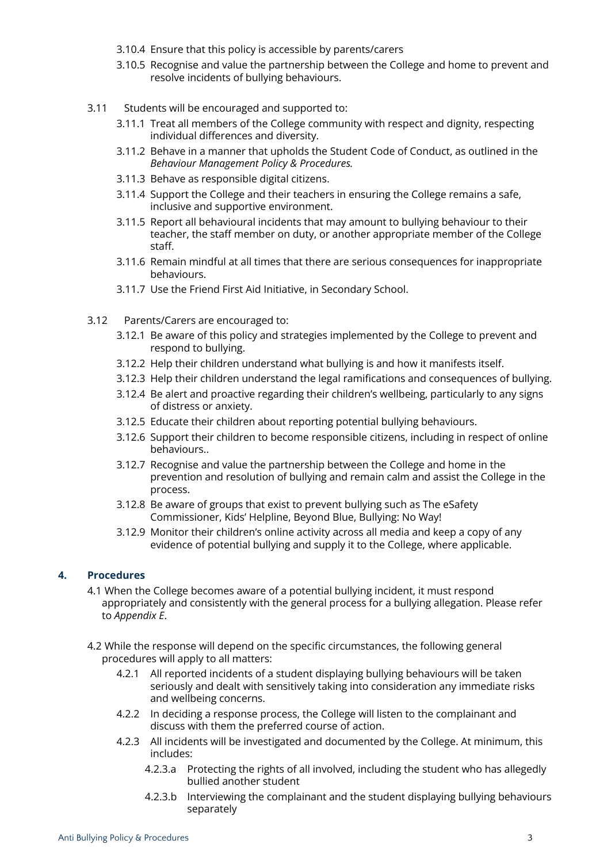- 3.10.4 Ensure that this policy is accessible by parents/carers
- 3.10.5 Recognise and value the partnership between the College and home to prevent and resolve incidents of bullying behaviours.
- 3.11 Students will be encouraged and supported to:
	- 3.11.1 Treat all members of the College community with respect and dignity, respecting individual differences and diversity.
	- 3.11.2 Behave in a manner that upholds the Student Code of Conduct, as outlined in the *Behaviour Management Policy & Procedures.*
	- 3.11.3 Behave as responsible digital citizens.
	- 3.11.4 Support the College and their teachers in ensuring the College remains a safe, inclusive and supportive environment.
	- 3.11.5 Report all behavioural incidents that may amount to bullying behaviour to their teacher, the staff member on duty, or another appropriate member of the College staff.
	- 3.11.6 Remain mindful at all times that there are serious consequences for inappropriate behaviours.
	- 3.11.7 Use the Friend First Aid Initiative, in Secondary School.
- 3.12 Parents/Carers are encouraged to:
	- 3.12.1 Be aware of this policy and strategies implemented by the College to prevent and respond to bullying.
	- 3.12.2 Help their children understand what bullying is and how it manifests itself.
	- 3.12.3 Help their children understand the legal ramifications and consequences of bullying.
	- 3.12.4 Be alert and proactive regarding their children's wellbeing, particularly to any signs of distress or anxiety.
	- 3.12.5 Educate their children about reporting potential bullying behaviours.
	- 3.12.6 Support their children to become responsible citizens, including in respect of online behaviours..
	- 3.12.7 Recognise and value the partnership between the College and home in the prevention and resolution of bullying and remain calm and assist the College in the process.
	- 3.12.8 Be aware of groups that exist to prevent bullying such as The eSafety Commissioner, Kids' Helpline, Beyond Blue, Bullying: No Way!
	- 3.12.9 Monitor their children's online activity across all media and keep a copy of any evidence of potential bullying and supply it to the College, where applicable.

# **4. Procedures**

- 4.1 When the College becomes aware of a potential bullying incident, it must respond appropriately and consistently with the general process for a bullying allegation. Please refer to *Appendix E*.
- 4.2 While the response will depend on the specific circumstances, the following general procedures will apply to all matters:
	- 4.2.1 All reported incidents of a student displaying bullying behaviours will be taken seriously and dealt with sensitively taking into consideration any immediate risks and wellbeing concerns.
	- 4.2.2 In deciding a response process, the College will listen to the complainant and discuss with them the preferred course of action.
	- 4.2.3 All incidents will be investigated and documented by the College. At minimum, this includes:
		- 4.2.3.a Protecting the rights of all involved, including the student who has allegedly bullied another student
		- 4.2.3.b Interviewing the complainant and the student displaying bullying behaviours separately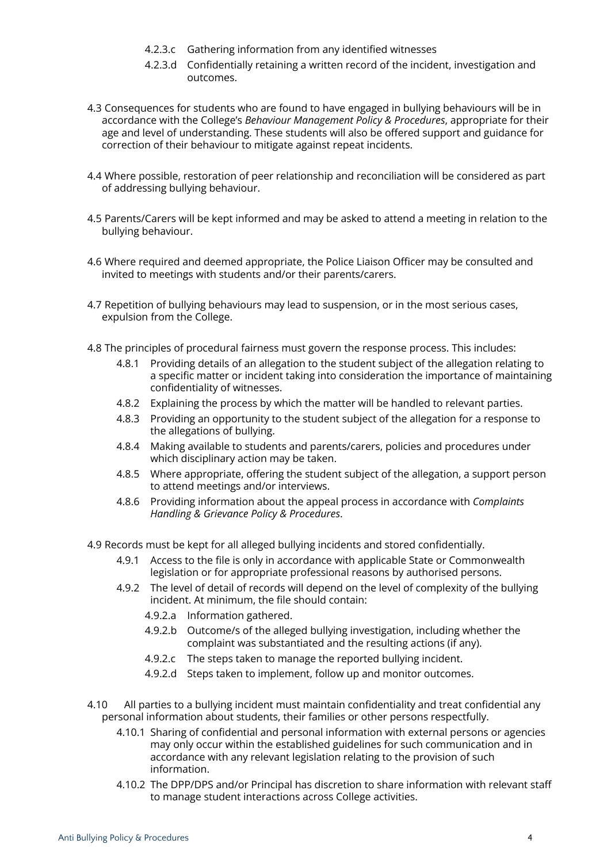- 4.2.3.c Gathering information from any identified witnesses
- 4.2.3.d Confidentially retaining a written record of the incident, investigation and outcomes.
- 4.3 Consequences for students who are found to have engaged in bullying behaviours will be in accordance with the College's *Behaviour Management Policy & Procedures*, appropriate for their age and level of understanding. These students will also be offered support and guidance for correction of their behaviour to mitigate against repeat incidents.
- 4.4 Where possible, restoration of peer relationship and reconciliation will be considered as part of addressing bullying behaviour.
- 4.5 Parents/Carers will be kept informed and may be asked to attend a meeting in relation to the bullying behaviour.
- 4.6 Where required and deemed appropriate, the Police Liaison Officer may be consulted and invited to meetings with students and/or their parents/carers.
- 4.7 Repetition of bullying behaviours may lead to suspension, or in the most serious cases, expulsion from the College.
- 4.8 The principles of procedural fairness must govern the response process. This includes:
	- 4.8.1 Providing details of an allegation to the student subject of the allegation relating to a specific matter or incident taking into consideration the importance of maintaining confidentiality of witnesses.
	- 4.8.2 Explaining the process by which the matter will be handled to relevant parties.
	- 4.8.3 Providing an opportunity to the student subject of the allegation for a response to the allegations of bullying.
	- 4.8.4 Making available to students and parents/carers, policies and procedures under which disciplinary action may be taken.
	- 4.8.5 Where appropriate, offering the student subject of the allegation, a support person to attend meetings and/or interviews.
	- 4.8.6 Providing information about the appeal process in accordance with *Complaints Handling & Grievance Policy & Procedures*.

4.9 Records must be kept for all alleged bullying incidents and stored confidentially.

- 4.9.1 Access to the file is only in accordance with applicable State or Commonwealth legislation or for appropriate professional reasons by authorised persons.
- 4.9.2 The level of detail of records will depend on the level of complexity of the bullying incident. At minimum, the file should contain:
	- 4.9.2.a Information gathered.
	- 4.9.2.b Outcome/s of the alleged bullying investigation, including whether the complaint was substantiated and the resulting actions (if any).
	- 4.9.2.c The steps taken to manage the reported bullying incident.
	- 4.9.2.d Steps taken to implement, follow up and monitor outcomes.
- 4.10 All parties to a bullying incident must maintain confidentiality and treat confidential any personal information about students, their families or other persons respectfully.
	- 4.10.1 Sharing of confidential and personal information with external persons or agencies may only occur within the established guidelines for such communication and in accordance with any relevant legislation relating to the provision of such information.
	- 4.10.2 The DPP/DPS and/or Principal has discretion to share information with relevant staff to manage student interactions across College activities.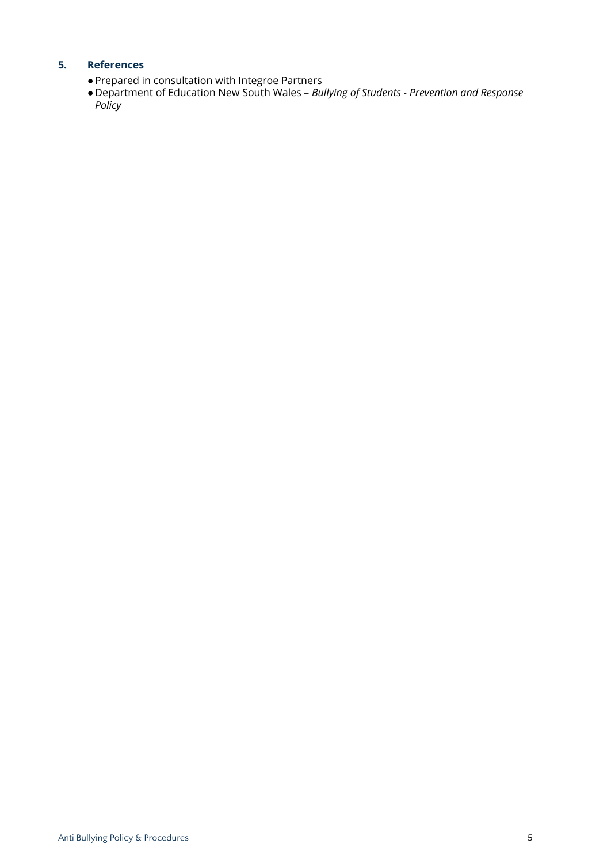# **5. References**

- ●Prepared in consultation with Integroe Partners
- Department of Education New South Wales *Bullying of Students - Prevention and Response Policy*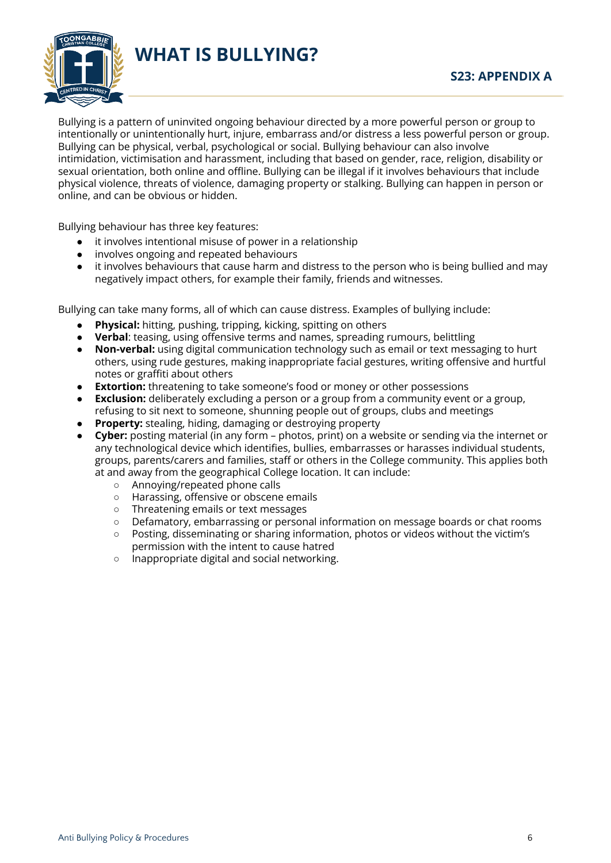

**WHAT IS BULLYING?**

Bullying is a pattern of uninvited ongoing behaviour directed by a more powerful person or group to intentionally or unintentionally hurt, injure, embarrass and/or distress a less powerful person or group. Bullying can be physical, verbal, psychological or social. Bullying behaviour can also involve intimidation, victimisation and harassment, including that based on gender, race, religion, disability or sexual orientation, both online and offline. Bullying can be illegal if it involves behaviours that include physical violence, threats of violence, damaging property or stalking. Bullying can happen in person or online, and can be obvious or hidden.

Bullying behaviour has three key features:

- it involves intentional misuse of power in a relationship
- involves ongoing and repeated behaviours
- it involves behaviours that cause harm and distress to the person who is being bullied and may negatively impact others, for example their family, friends and witnesses.

Bullying can take many forms, all of which can cause distress. Examples of bullying include:

- **Physical:** hitting, pushing, tripping, kicking, spitting on others
- **Verbal**: teasing, using offensive terms and names, spreading rumours, belittling
- **Non-verbal:** using digital communication technology such as email or text messaging to hurt others, using rude gestures, making inappropriate facial gestures, writing offensive and hurtful notes or graffiti about others
- **Extortion:** threatening to take someone's food or money or other possessions
- **Exclusion:** deliberately excluding a person or a group from a community event or a group, refusing to sit next to someone, shunning people out of groups, clubs and meetings
- **Property:** stealing, hiding, damaging or destroying property
- **Cyber:** posting material (in any form photos, print) on a website or sending via the internet or any technological device which identifies, bullies, embarrasses or harasses individual students, groups, parents/carers and families, staff or others in the College community. This applies both at and away from the geographical College location. It can include:
	- Annoying/repeated phone calls
	- Harassing, offensive or obscene emails
	- Threatening emails or text messages
	- Defamatory, embarrassing or personal information on message boards or chat rooms
	- Posting, disseminating or sharing information, photos or videos without the victim's permission with the intent to cause hatred
	- Inappropriate digital and social networking.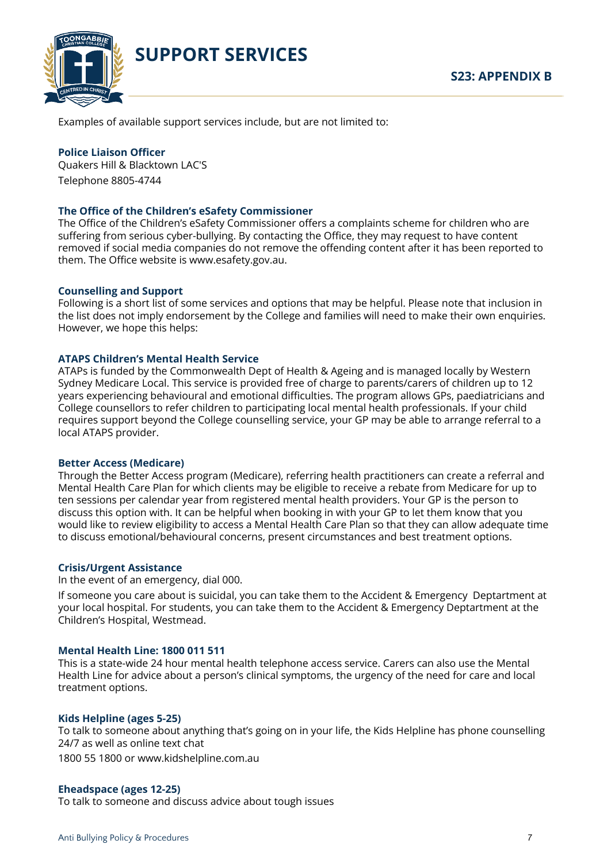

**SUPPORT SERVICES**

Examples of available support services include, but are not limited to:

#### **Police Liaison Officer**

Quakers Hill & Blacktown LAC'S Telephone 8805-4744

## **The Office of the Children's eSafety Commissioner**

The Office of the Children's eSafety Commissioner offers a complaints scheme for children who are suffering from serious cyber-bullying. By contacting the Office, they may request to have content removed if social media companies do not remove the offending content after it has been reported to them. The Office website is www.esafety.gov.au.

#### **Counselling and Support**

Following is a short list of some services and options that may be helpful. Please note that inclusion in the list does not imply endorsement by the College and families will need to make their own enquiries. However, we hope this helps:

#### **ATAPS Children's Mental Health Service**

ATAPs is funded by the Commonwealth Dept of Health & Ageing and is managed locally by Western Sydney Medicare Local. This service is provided free of charge to parents/carers of children up to 12 years experiencing behavioural and emotional difficulties. The program allows GPs, paediatricians and College counsellors to refer children to participating local mental health professionals. If your child requires support beyond the College counselling service, your GP may be able to arrange referral to a local ATAPS provider.

#### **Better Access (Medicare)**

Through the Better Access program (Medicare), referring health practitioners can create a referral and Mental Health Care Plan for which clients may be eligible to receive a rebate from Medicare for up to ten sessions per calendar year from registered mental health providers. Your GP is the person to discuss this option with. It can be helpful when booking in with your GP to let them know that you would like to review eligibility to access a Mental Health Care Plan so that they can allow adequate time to discuss emotional/behavioural concerns, present circumstances and best treatment options.

#### **Crisis/Urgent Assistance**

In the event of an emergency, dial 000.

If someone you care about is suicidal, you can take them to the Accident & Emergency Deptartment at your local hospital. For students, you can take them to the Accident & Emergency Deptartment at the Children's Hospital, Westmead.

#### **Mental Health Line: 1800 011 511**

This is a state-wide 24 hour mental health telephone access service. Carers can also use the Mental Health Line for advice about a person's clinical symptoms, the urgency of the need for care and local treatment options.

#### **Kids Helpline (ages 5-25)**

To talk to someone about anything that's going on in your life, the Kids Helpline has phone counselling 24/7 as well as online text chat

1800 55 1800 or www.kidshelpline.com.au

#### **Eheadspace (ages 12-25)**

To talk to someone and discuss advice about tough issues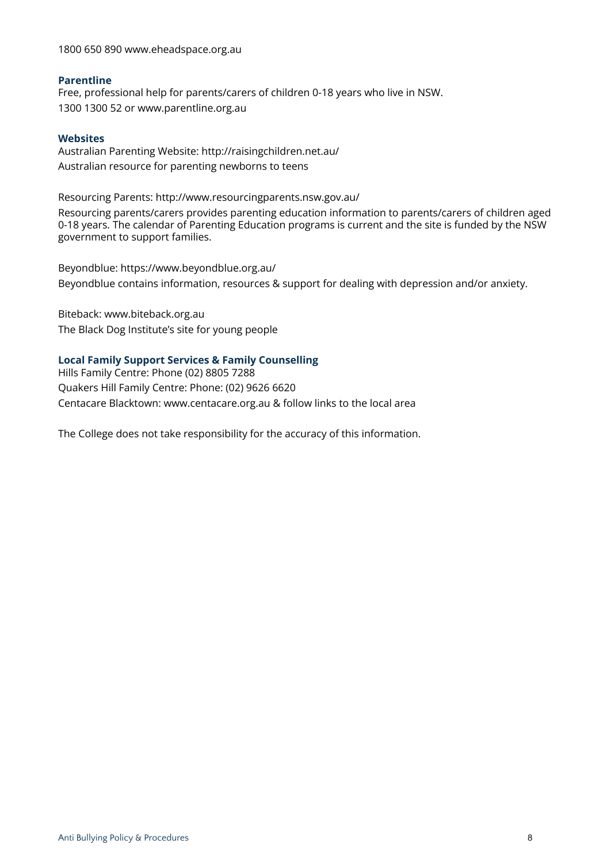1800 650 890 www.eheadspace.org.au

#### **Parentline**

Free, professional help for parents/carers of children 0-18 years who live in NSW. 1300 1300 52 or www.parentline.org.au

#### **Websites**

Australian Parenting Website: http://raisingchildren.net.au/ Australian resource for parenting newborns to teens

Resourcing Parents: http://www.resourcingparents.nsw.gov.au/

Resourcing parents/carers provides parenting education information to parents/carers of children aged 0-18 years. The calendar of Parenting Education programs is current and the site is funded by the NSW government to support families.

Beyondblue: https://www.beyondblue.org.au/ Beyondblue contains information, resources & support for dealing with depression and/or anxiety.

Biteback: www.biteback.org.au The Black Dog Institute's site for young people

## **Local Family Support Services & Family Counselling**

Hills Family Centre: Phone (02) 8805 7288 Quakers Hill Family Centre: Phone: (02) 9626 6620 Centacare Blacktown: www.centacare.org.au & follow links to the local area

The College does not take responsibility for the accuracy of this information.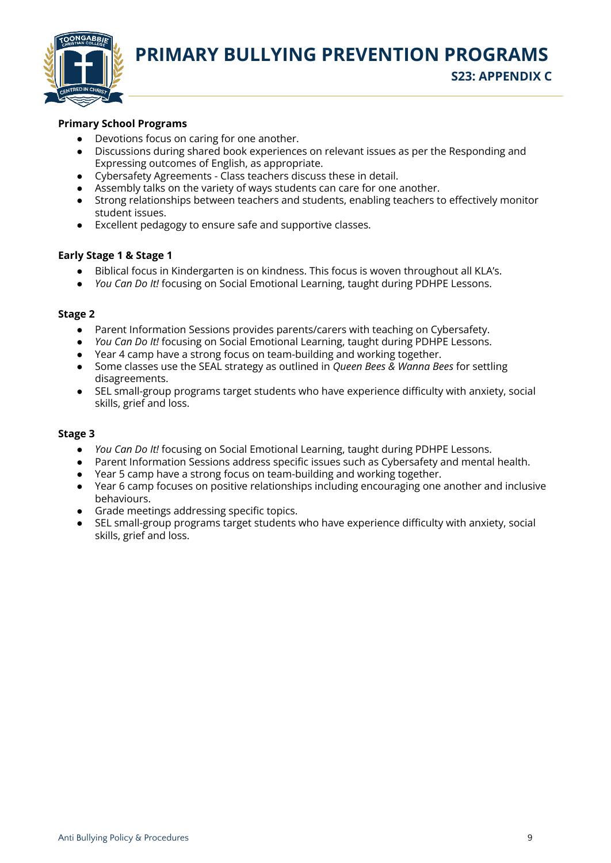

**PRIMARY BULLYING PREVENTION PROGRAMS S23: APPENDIX C**

## **Primary School Programs**

- Devotions focus on caring for one another.
- Discussions during shared book experiences on relevant issues as per the Responding and Expressing outcomes of English, as appropriate.
- Cybersafety Agreements Class teachers discuss these in detail.
- Assembly talks on the variety of ways students can care for one another.
- Strong relationships between teachers and students, enabling teachers to effectively monitor student issues.
- Excellent pedagogy to ensure safe and supportive classes.

#### **Early Stage 1 & Stage 1**

- Biblical focus in Kindergarten is on kindness. This focus is woven throughout all KLA's.
- *You Can Do It!* focusing on Social Emotional Learning, taught during PDHPE Lessons.

## **Stage 2**

- Parent Information Sessions provides parents/carers with teaching on Cybersafety.
- *You Can Do It!* focusing on Social Emotional Learning, taught during PDHPE Lessons.
- Year 4 camp have a strong focus on team-building and working together.
- Some classes use the SEAL strategy as outlined in *Queen Bees & Wanna Bees* for settling disagreements.
- SEL small-group programs target students who have experience difficulty with anxiety, social skills, grief and loss.

#### **Stage 3**

- *You Can Do It!* focusing on Social Emotional Learning, taught during PDHPE Lessons.
- Parent Information Sessions address specific issues such as Cybersafety and mental health.
- Year 5 camp have a strong focus on team-building and working together.
- Year 6 camp focuses on positive relationships including encouraging one another and inclusive behaviours.
- Grade meetings addressing specific topics.
- SEL small-group programs target students who have experience difficulty with anxiety, social skills, grief and loss.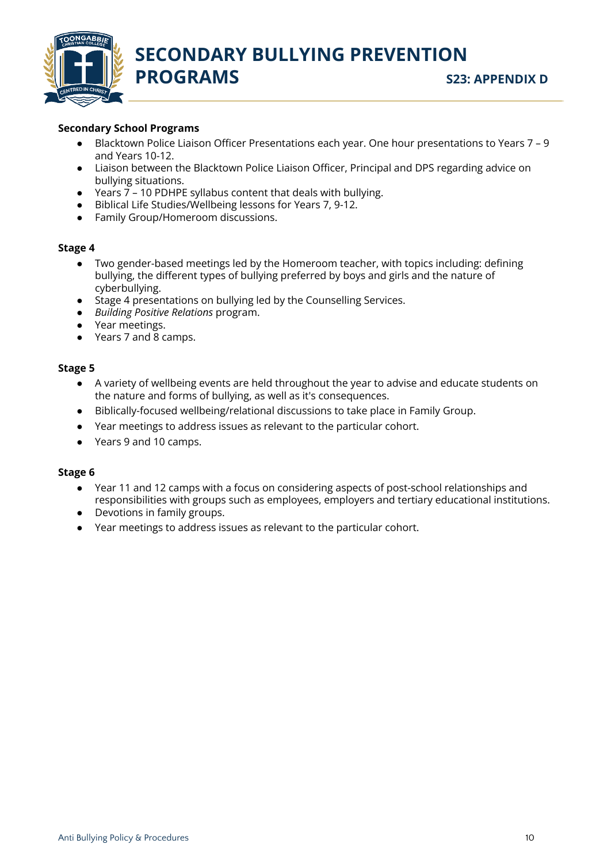

# **Secondary School Programs**

- Blacktown Police Liaison Officer Presentations each year. One hour presentations to Years 7 9 and Years 10-12.
- Liaison between the Blacktown Police Liaison Officer, Principal and DPS regarding advice on bullying situations.
- Years 7 10 PDHPE syllabus content that deals with bullying.
- Biblical Life Studies/Wellbeing lessons for Years 7, 9-12.
- Family Group/Homeroom discussions.

## **Stage 4**

- Two gender-based meetings led by the Homeroom teacher, with topics including: defining bullying, the different types of bullying preferred by boys and girls and the nature of cyberbullying.
- Stage 4 presentations on bullying led by the Counselling Services.
- *Building Positive Relations* program.
- Year meetings.
- Years 7 and 8 camps.

# **Stage 5**

- A variety of wellbeing events are held throughout the year to advise and educate students on the nature and forms of bullying, as well as it's consequences.
- Biblically-focused wellbeing/relational discussions to take place in Family Group.
- Year meetings to address issues as relevant to the particular cohort.
- Years 9 and 10 camps.

#### **Stage 6**

- Year 11 and 12 camps with a focus on considering aspects of post-school relationships and responsibilities with groups such as employees, employers and tertiary educational institutions.
- Devotions in family groups.
- Year meetings to address issues as relevant to the particular cohort.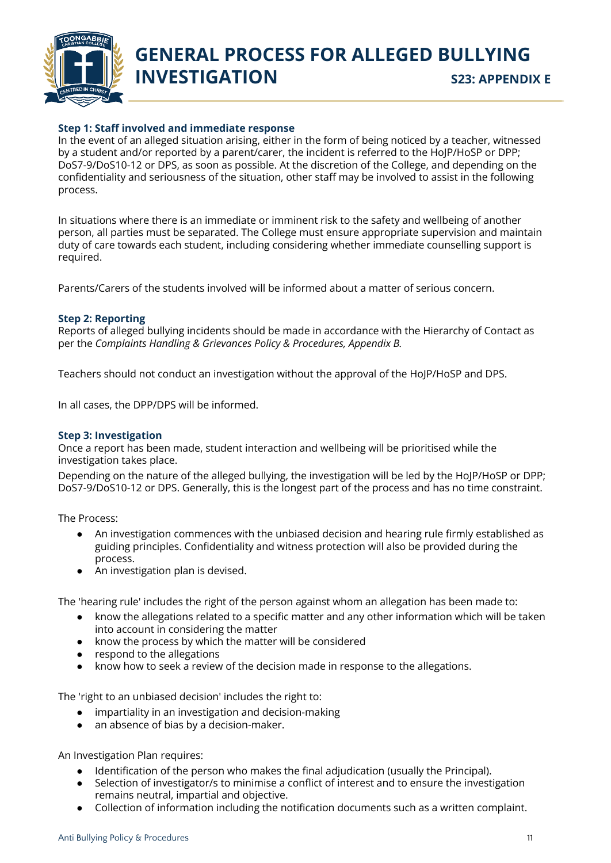

# **GENERAL PROCESS FOR ALLEGED BULLYING INVESTIGATION** S23: APPENDIX E

# **Step 1: Staff involved and immediate response**

In the event of an alleged situation arising, either in the form of being noticed by a teacher, witnessed by a student and/or reported by a parent/carer, the incident is referred to the HoJP/HoSP or DPP; DoS7-9/DoS10-12 or DPS, as soon as possible. At the discretion of the College, and depending on the confidentiality and seriousness of the situation, other staff may be involved to assist in the following process.

In situations where there is an immediate or imminent risk to the safety and wellbeing of another person, all parties must be separated. The College must ensure appropriate supervision and maintain duty of care towards each student, including considering whether immediate counselling support is required.

Parents/Carers of the students involved will be informed about a matter of serious concern.

#### **Step 2: Reporting**

Reports of alleged bullying incidents should be made in accordance with the Hierarchy of Contact as per the *Complaints Handling & Grievances Policy & Procedures, Appendix B.*

Teachers should not conduct an investigation without the approval of the HoJP/HoSP and DPS.

In all cases, the DPP/DPS will be informed.

## **Step 3: Investigation**

Once a report has been made, student interaction and wellbeing will be prioritised while the investigation takes place.

Depending on the nature of the alleged bullying, the investigation will be led by the HoJP/HoSP or DPP; DoS7-9/DoS10-12 or DPS. Generally, this is the longest part of the process and has no time constraint.

The Process:

- An investigation commences with the unbiased decision and hearing rule firmly established as guiding principles. Confidentiality and witness protection will also be provided during the process.
- An investigation plan is devised.

The 'hearing rule' includes the right of the person against whom an allegation has been made to:

- know the allegations related to a specific matter and any other information which will be taken into account in considering the matter
- know the process by which the matter will be considered
- respond to the allegations
- know how to seek a review of the decision made in response to the allegations.

The 'right to an unbiased decision' includes the right to:

- impartiality in an investigation and decision-making
- an absence of bias by a decision-maker.

An Investigation Plan requires:

- Identification of the person who makes the final adjudication (usually the Principal).
- Selection of investigator/s to minimise a conflict of interest and to ensure the investigation remains neutral, impartial and objective.
- Collection of information including the notification documents such as a written complaint.